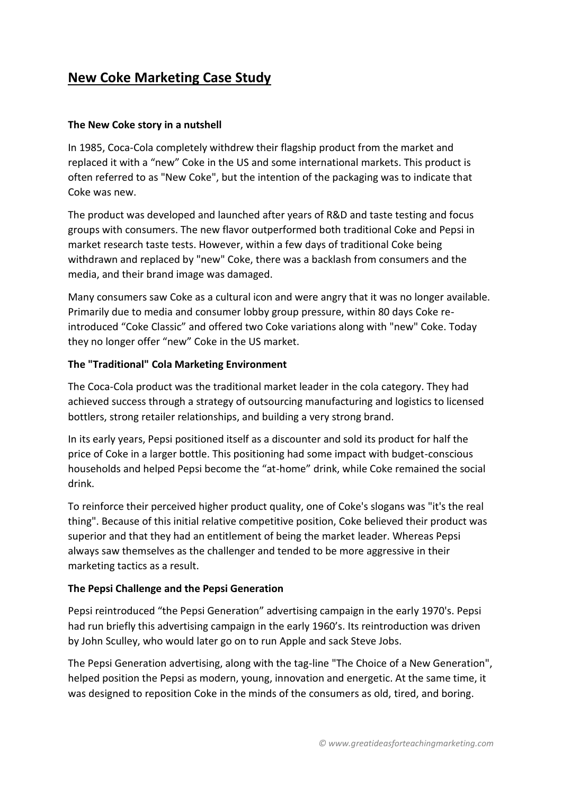# **New Coke Marketing Case Study**

#### **The New Coke story in a nutshell**

In 1985, Coca-Cola completely withdrew their flagship product from the market and replaced it with a "new" Coke in the US and some international markets. This product is often referred to as "New Coke", but the intention of the packaging was to indicate that Coke was new.

The product was developed and launched after years of R&D and taste testing and focus groups with consumers. The new flavor outperformed both traditional Coke and Pepsi in market research taste tests. However, within a few days of traditional Coke being withdrawn and replaced by "new" Coke, there was a backlash from consumers and the media, and their brand image was damaged.

Many consumers saw Coke as a cultural icon and were angry that it was no longer available. Primarily due to media and consumer lobby group pressure, within 80 days Coke reintroduced "Coke Classic" and offered two Coke variations along with "new" Coke. Today they no longer offer "new" Coke in the US market.

#### **The "Traditional" Cola Marketing Environment**

The Coca-Cola product was the traditional market leader in the cola category. They had achieved success through a strategy of outsourcing manufacturing and logistics to licensed bottlers, strong retailer relationships, and building a very strong brand.

In its early years, Pepsi positioned itself as a discounter and sold its product for half the price of Coke in a larger bottle. This positioning had some impact with budget-conscious households and helped Pepsi become the "at-home" drink, while Coke remained the social drink.

To reinforce their perceived higher product quality, one of Coke's slogans was "it's the real thing". Because of this initial relative competitive position, Coke believed their product was superior and that they had an entitlement of being the market leader. Whereas Pepsi always saw themselves as the challenger and tended to be more aggressive in their marketing tactics as a result.

#### **The Pepsi Challenge and the Pepsi Generation**

Pepsi reintroduced "the Pepsi Generation" advertising campaign in the early 1970's. Pepsi had run briefly this advertising campaign in the early 1960's. Its reintroduction was driven by John Sculley, who would later go on to run Apple and sack Steve Jobs.

The Pepsi Generation advertising, along with the tag-line "The Choice of a New Generation", helped position the Pepsi as modern, young, innovation and energetic. At the same time, it was designed to reposition Coke in the minds of the consumers as old, tired, and boring.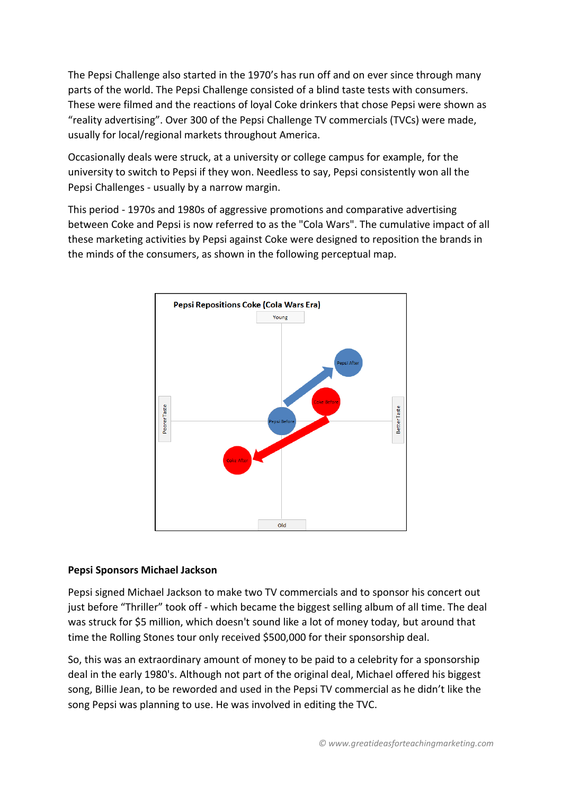The Pepsi Challenge also started in the 1970's has run off and on ever since through many parts of the world. The Pepsi Challenge consisted of a blind taste tests with consumers. These were filmed and the reactions of loyal Coke drinkers that chose Pepsi were shown as "reality advertising". Over 300 of the Pepsi Challenge TV commercials (TVCs) were made, usually for local/regional markets throughout America.

Occasionally deals were struck, at a university or college campus for example, for the university to switch to Pepsi if they won. Needless to say, Pepsi consistently won all the Pepsi Challenges - usually by a narrow margin.

This period - 1970s and 1980s of aggressive promotions and comparative advertising between Coke and Pepsi is now referred to as the "Cola Wars". The cumulative impact of all these marketing activities by Pepsi against Coke were designed to reposition the brands in the minds of the consumers, as shown in the following perceptual map.



#### **Pepsi Sponsors Michael Jackson**

Pepsi signed Michael Jackson to make two TV commercials and to sponsor his concert out just before "Thriller" took off - which became the biggest selling album of all time. The deal was struck for \$5 million, which doesn't sound like a lot of money today, but around that time the Rolling Stones tour only received \$500,000 for their sponsorship deal.

So, this was an extraordinary amount of money to be paid to a celebrity for a sponsorship deal in the early 1980's. Although not part of the original deal, Michael offered his biggest song, Billie Jean, to be reworded and used in the Pepsi TV commercial as he didn't like the song Pepsi was planning to use. He was involved in editing the TVC.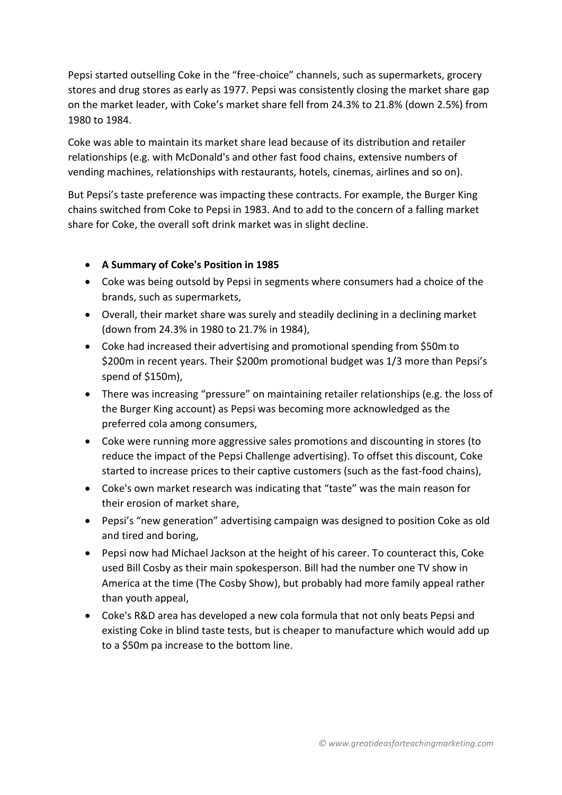Pepsi started outselling Coke in the "free-choice" channels, such as supermarkets, grocery stores and drug stores as early as 1977. Pepsi was consistently closing the market share gap on the market leader, with Coke's market share fell from 24.3% to 21.8% (down 2.5%) from 1980 to 1984.

Coke was able to maintain its market share lead because of its distribution and retailer relationships (e.g. with McDonald's and other fast food chains, extensive numbers of vending machines, relationships with restaurants, hotels, cinemas, airlines and so on).

But Pepsi's taste preference was impacting these contracts. For example, the Burger King chains switched from Coke to Pepsi in 1983. And to add to the concern of a falling market share for Coke, the overall soft drink market was in slight decline.

# • **A Summary of Coke's Position in 1985**

- Coke was being outsold by Pepsi in segments where consumers had a choice of the brands, such as supermarkets,
- Overall, their market share was surely and steadily declining in a declining market (down from 24.3% in 1980 to 21.7% in 1984),
- Coke had increased their advertising and promotional spending from \$50m to \$200m in recent years. Their \$200m promotional budget was 1/3 more than Pepsi's spend of \$150m),
- There was increasing "pressure" on maintaining retailer relationships (e.g. the loss of the Burger King account) as Pepsi was becoming more acknowledged as the preferred cola among consumers,
- Coke were running more aggressive sales promotions and discounting in stores (to reduce the impact of the Pepsi Challenge advertising). To offset this discount, Coke started to increase prices to their captive customers (such as the fast-food chains),
- Coke's own market research was indicating that "taste" was the main reason for their erosion of market share,
- Pepsi's "new generation" advertising campaign was designed to position Coke as old and tired and boring,
- Pepsi now had Michael Jackson at the height of his career. To counteract this, Coke used Bill Cosby as their main spokesperson. Bill had the number one TV show in America at the time (The Cosby Show), but probably had more family appeal rather than youth appeal,
- Coke's R&D area has developed a new cola formula that not only beats Pepsi and existing Coke in blind taste tests, but is cheaper to manufacture which would add up to a \$50m pa increase to the bottom line.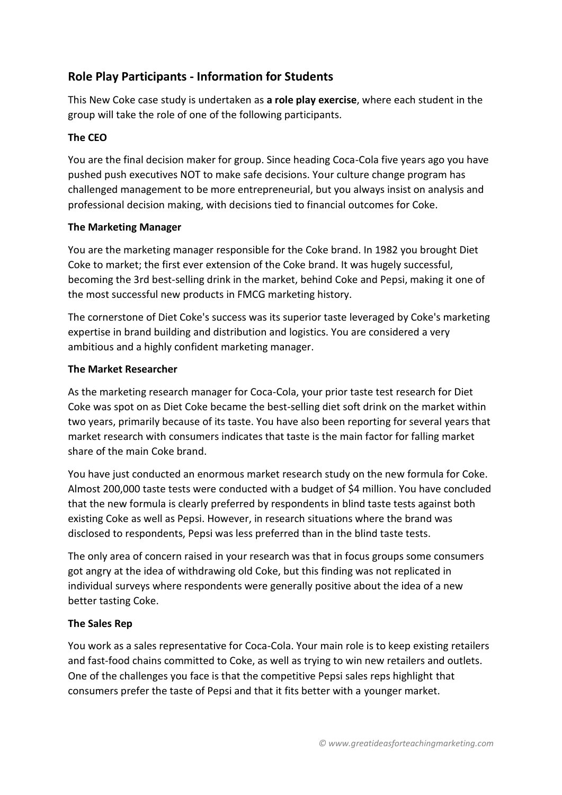# **Role Play Participants - Information for Students**

This New Coke case study is undertaken as **a role play exercise**, where each student in the group will take the role of one of the following participants.

### **The CEO**

You are the final decision maker for group. Since heading Coca-Cola five years ago you have pushed push executives NOT to make safe decisions. Your culture change program has challenged management to be more entrepreneurial, but you always insist on analysis and professional decision making, with decisions tied to financial outcomes for Coke.

#### **The Marketing Manager**

You are the marketing manager responsible for the Coke brand. In 1982 you brought Diet Coke to market; the first ever extension of the Coke brand. It was hugely successful, becoming the 3rd best-selling drink in the market, behind Coke and Pepsi, making it one of the most successful new products in FMCG marketing history.

The cornerstone of Diet Coke's success was its superior taste leveraged by Coke's marketing expertise in brand building and distribution and logistics. You are considered a very ambitious and a highly confident marketing manager.

#### **The Market Researcher**

As the marketing research manager for Coca-Cola, your prior taste test research for Diet Coke was spot on as Diet Coke became the best-selling diet soft drink on the market within two years, primarily because of its taste. You have also been reporting for several years that market research with consumers indicates that taste is the main factor for falling market share of the main Coke brand.

You have just conducted an enormous market research study on the new formula for Coke. Almost 200,000 taste tests were conducted with a budget of \$4 million. You have concluded that the new formula is clearly preferred by respondents in blind taste tests against both existing Coke as well as Pepsi. However, in research situations where the brand was disclosed to respondents, Pepsi was less preferred than in the blind taste tests.

The only area of concern raised in your research was that in focus groups some consumers got angry at the idea of withdrawing old Coke, but this finding was not replicated in individual surveys where respondents were generally positive about the idea of a new better tasting Coke.

# **The Sales Rep**

You work as a sales representative for Coca-Cola. Your main role is to keep existing retailers and fast-food chains committed to Coke, as well as trying to win new retailers and outlets. One of the challenges you face is that the competitive Pepsi sales reps highlight that consumers prefer the taste of Pepsi and that it fits better with a younger market.